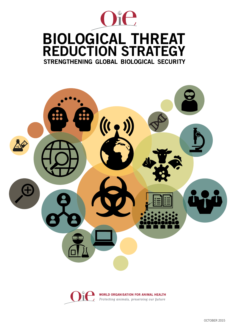

# strengthening global biological security BIOLOGICAL THREAT REDUCTION STRATEGY



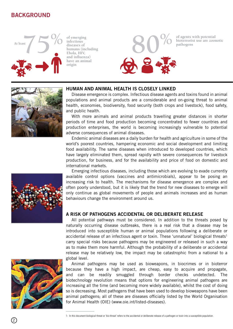# BACKGROUND



**of emerging infectious diseases of humans (including Ebola, HIV, and influenza) have an animal origin** 





#### HUMAN AND ANIMAL HEALTH IS CLOSELY LINKED

Disease emergence is complex. Infectious disease agents and toxins found in animal populations and animal products are a considerable and on-going threat to animal health, economies, biodiversity, food security (both crops and livestock), food safety, and public health.

With more animals and animal products travelling greater distances in shorter periods of time and food production becoming concentrated to fewer countries and production enterprises, the world is becoming increasingly vulnerable to potential adverse consequences of animal diseases.

Endemic animal diseases are a daily burden for health and agriculture in some of the world's poorest countries, hampering economic and social development and limiting food availability. The same diseases when introduced to developed countries, which have largely eliminated them, spread rapidly with severe consequences for livestock production, for business, and for the availability and price of food on domestic and international markets.

Emerging infectious diseases, including those which are evolving to evade currently available control options (vaccines and antimicrobials), appear to be posing an increasing risk to health. The mechanisms for disease emergence are complex and often poorly understood, but it is likely that the trend for new diseases to emerge will only continue as global movements of people and animals increases and as human behaviours change the environment around us.

#### A RISK OF PATHOGENS ACCIDENTAL OR DELIBERATE RELEASE

All potential pathways must be considered. In addition to the threats posed by naturally occurring disease outbreaks, there is a real risk that a disease may be introduced into susceptible human or animal populations following a deliberate or accidental release of an infectious agent or toxin. These 'unnatural' biological threats<sup>1</sup> carry special risks because pathogens may be engineered or released in such a way as to make them more harmful. Although the probability of a deliberate or accidental release may be relatively low, the impact may be catastrophic from a national to a global level.

Animal pathogens may be used as bioweapons, in biocrimes or in bioterror because they have a high impact, are cheap, easy to acquire and propagate, and can be readily smuggled through border checks undetected. The biotechnology revolution means that options for engineering animal pathogens are increasing all the time (and becoming more widely available), whilst the cost of doing so is decreasing. Most pathogens that have been used to develop bioweapons have been animal pathogens; all of these are diseases officially listed by the World Organisation for Animal Health (OIE) (www.oie.int/listed-diseases).



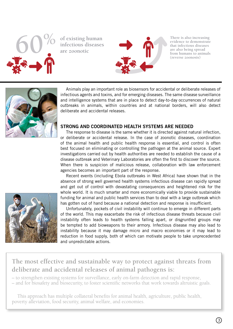

**60% of existing human infectious diseases are zoonotic**



**There is also increasing evidence to demonstrate that infectious diseases are also being spread from humans to animals (reverse zoonosis)**



Animals play an important role as biosensors for accidental or deliberate releases of infectious agents and toxins, and for emerging diseases. The same disease surveillance and intelligence systems that are in place to detect day-to-day occurrences of natural outbreaks in animals, within countries and at national borders, will also detect deliberate and accidental releases.

#### STRONG AND COORDINATED HEALTH SYSTEMS ARE NEEDED

The response to disease is the same whether it is directed against natural infection, or deliberate or accidental release. In the case of zoonotic diseases, coordination of the animal health and public health response is essential, and control is often best focused on eliminating or controlling the pathogen at the animal source. Expert investigations carried out by health authorities are needed to establish the cause of a disease outbreak and Veterinary Laboratories are often the first to discover the source. When there is suspicion of malicious release, collaboration with law enforcement agencies becomes an important part of the response.

Recent events (including Ebola outbreaks in West Africa) have shown that in the absence of strong well governed health systems infectious disease can rapidly spread and get out of control with devastating consequences and heightened risk for the whole world. It is much smarter and more economically viable to provide sustainable funding for animal and public health services than to deal with a large outbreak which has gotten out of hand because a national detection and response is insufficient.

Unfortunately, pockets of civil instability will continue to emerge in different parts of the world. This may exacerbate the risk of infectious disease threats because civil instability often leads to health systems falling apart, or disgruntled groups may be tempted to add bioweapons to their armory. Infectious disease may also lead to instability because it may damage micro and macro economies or it may lead to reduction in food supply, both of which can motivate people to take unprecedented and unpredictable actions.



# **The most effective and sustainable way to protect against threats from deliberate and accidental releases of animal pathogens is:**

– to strengthen existing systems for surveillance, early on-farm detection and rapid response,

– and for biosafety and biosecurity, to foster scientific networks that work towards altruistic goals.

This approach has multiple collateral benefits for animal health, agriculture, public health, poverty alleviation, food security, animal welfare, and economies.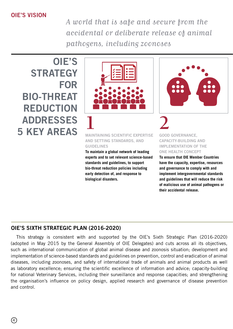## OIE'S VISION

A world that is safe and secure from the accidental or deliberate release of animal pathogens, including zoonoses

OIE'S **STRATEGY** FOR BIO-THREAT REDUCTION ADDRESSES 5 KEY AREAS



#### MAINTAINING SCIENTIFIC EXPERTISE AND SETTING STANDARDS, AND GUIDELINES

**To maintain a global network of leading experts and to set relevant science-based standards and guidelines, to support bio-threat reduction policies including early detection of, and response to biological disasters.**



#### GOOD GOVERNANCE, CAPACITY-BUILDING AND IMPLEMENTATION OF THE ONE HEALTH CONCEPT

**To ensure that OIE Member Countries have the capacity, expertise, resources and governance to comply with and implement intergovernmental standards and guidelines that will reduce the risk of malicious use of animal pathogens or their accidental release.**

### OIE'S SIXTH STRATEGIC PLAN (2016-2020)

This strategy is consistent with and supported by the OIE's Sixth Strategic Plan (2016-2020) (adopted in May 2015 by the General Assembly of OIE Delegates) and cuts across all its objectives, such as international communication of global animal disease and zoonosis situation; development and implementation of science-based standards and guidelines on prevention, control and eradication of animal diseases, including zoonoses, and safety of international trade of animals and animal products as well as laboratory excellence; ensuring the scientific excellence of information and advice; capacity-building for national Veterinary Services, including their surveillance and response capacities; and strengthening the organisation's influence on policy design, applied research and governance of disease prevention and control.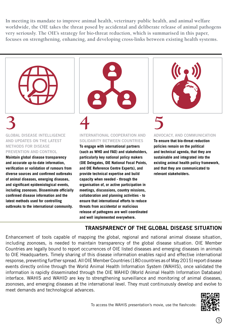**In meeting its mandate to improve animal health, veterinary public health, and animal welfare worldwide, the OIE takes the threat posed by accidental and deliberate release of animal pathogens very seriously. The OIE's strategy for bio-threat reduction, which is summarised in this paper, focuses on strengthening, enhancing, and developing cross-links between existing health systems.**



**3** GLOBAL DISEASE INTELLIGENCE AND UPDATES ON THE LATEST METHODS FOR DISEASE PREVENTION AND CONTROL

**Maintain global disease transparency and accurate up-to-date information, verification or validation of rumours from diverse sources and confirmed outbreaks of animal diseases, emerging diseases, and significant epidemiological events, including zoonoses. Disseminate officially confirmed disease information and the latest methods used for controlling outbreaks to the international community.**



**4** INTERNATIONAL COOPERATION AND SOLIDARITY BETWEEN COUNTRIES

**To engage with international partners (such as WHO and FAO) and stakeholders, particularly key national policy makers (OIE Delegates, OIE National Focal Points, and OIE Reference Centre Experts), and provide technical expertise and build capacity when needed - through the organisation of, or active participation in meetings, discussions, country missions, collaboration and planning activities - to ensure that international efforts to reduce threats from accidental or malicious release of pathogens are well coordinated and well implemented everywhere.**



# **5**

ADVOCACY, AND COMMUNICATION **To ensure that bio-threat reduction** 

**policies remain on the political and technical agenda, that they are sustainable and integrated into the existing animal health policy framework, and that they are communicated to relevant stakeholders.**

# TRANSPARENCY OF THE GLOBAL DISEASE SITUATION

Enhancement of tools capable of mapping the global, regional and national animal disease situation, including zoonoses, is needed to maintain transparency of the global disease situation. OIE Member Countries are legally bound to report occurrences of OIE listed diseases and emerging diseases in animals to OIE Headquarters. Timely sharing of this disease information enables rapid and effective international response, preventing further spread. All OIE Member Countries (180 countries as of May 2015) report disease events directly online through the World Animal Health Information System (WAHIS), once validated the information is rapidly disseminated through the OIE WAHID (World Animal Health Information Database) interface. WAHIS and WAHID are key to strengthening surveillance and monitoring of animal diseases, zoonoses, and emerging diseases at the international level. They must continuously develop and evolve to meet demands and technological advances.

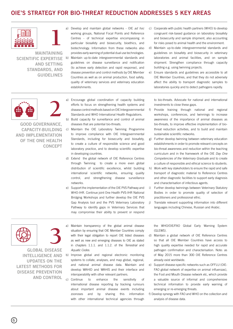# OIE'S STRATEGY FOR BIO-THREAT REDUCTION ADDRESSES 5 KEY AREAS





MAINTAINING SCIENTIFIC EXPERTISE AND SETTING STANDARDS, AND GUIDELINES

- a) Develop and maintain global networks OIE *ad hoc* working groups, National Focal Points and Reference Centres - of technical expertise encompassing in particular biosafety and biosecurity, bioethics, and biotechnology. Information from these networks also provides early warning of potential dual use technologies. b) Maintain up-to-date intergovernmental standards and guidelines on disease surveillance and notification (to achieve early detection and rapid response), and disease prevention and control methods by OIE Member Countries as well as on animal production, food safety, quality of veterinary services and veterinary education establishments.
- c) Cooperate with public health partners (WHO) to develop congruent risk-based guidance on laboratory biosafety and biosecurity and sample shipment, also accounting for risks posed to animal health and the environment.
- d) Maintain up-to-date intergovernmental standards and guidelines on biosafety and biosecurity in veterinary laboratories and animal facilities, and on sample shipment. Strengthen compliance through capacity building e.g. using twinning projects.
- e) Ensure standards and guidelines are accessible to all OIE Member Countries, and that they do not adversely affect the ability to transport diagnostic samples to laboratories quickly and to detect pathogens rapidly.



GOOD GOVERNANCE, CAPACITY-BUILDING AND IMPLEMENTATION OF THE ONE HEALTH **CONCEPT** 

- a) Encourage global coordination of capacity building efforts to focus on strengthening health systems and disease control methods based on OIE Intergovernmental Standards and WHO International Health Regulations.
- b) Build capacity for surveillance and control of animal diseases that are potential bio-threats.
- c) Maintain the OIE Laboratory Twinning Programme to improve compliance with OIE Intergovernmental Standards, including for biosecurity and biosafety, to create a culture of responsible science and good laboratory practice, and to develop scientific expertise in developing countries.
- d) Extend the global network of OIE Reference Centres through Twinning to create a more even global distribution of scientific excellence, whilst building international scientific networks, ensuring quality control, and strengthening disease surveillance networks.
- e) Support the implementation of the OIE PVS Pathway and WHO-IHR. Continue joint One Health PVS-IHR National Bridging Workshops and further develop the OIE PVS Gap Analysis tool and the PVS Veterinary Laboratory Pathway to identify gaps in Veterinary Services that may compromise their ability to prevent or respond

to bio-threats. Advocate for national and international investments to close these gaps.

- f) Provide training through national and regional workshops, conferences, and twinnings to increase awareness of the importance of animal diseases as bio-threats, to improve effective implementation of biothreat reduction activities, and to build and maintain sustainable scientific networks.
- g) Further develop twinning between veterinary education establishments in order to promote relevant concepts on bio-threat awareness and reduction within the teaching curriculum and in the framework of the OIE *Day One Competencies of the Veterinary Graduate* and to create a culture of responsible and ethical science to students.
- h) Work with key stakeholders to ensure the rapid and safe transport of diagnostic material to Reference Centres and other diagnostic facilities to support early diagnosis and characterisation of infectious agents.
- i) Further develop twinnings between Veterinary Statutory Bodies in order to promote quality of selection of practitioners and professional ethic.
- j) Translate relevant supporting information into different languages including Chinese, Russian and Arabic.



GLOBAL DISEASE INTELLIGENCE AND UPDATES ON THE LATEST METHODS FOR DISEASE PREVENTION AND CONTROL

- a) Maintain transparency of the global animal disease situation by ensuring that OIE Member Countries comply with their legal obligation to report OIE listed diseases as well as new and emerging diseases to OIE as stated in chapters 1.1.1. and 1.1.2. of the *Terrestrial* and *Aquatic Codes*.
- b) Improve global and regional electronic monitoring systems to collate, analyses, and map global, regional, and national animal disease data. Maintain and develop WAHID and WAHIS and their interface and interoperability with other relevant partners.
- c) Continue to enhance the sensitivity of international disease reporting by tracking rumours about important animal disease events including zoonoses and by sharing this information with other international technical agencies through

the WHO/OIE/FAO Global Early Warning System (GLEWS).

- d) Maintain a global network of OIE Reference Centres so that all OIE Member Countries have access to high quality expertise needed for rapid and accurate pathogen confirmation and characterisation. Note: as of May 2015 more than 300 OIE Reference Centres already exist worldwide.
- e) Support disease-specific networks such as OFFLU (OIE-FAO global network of expertise on animal influenzas), the Foot and Mouth Disease network etc, which provide a valuable source of informal and comprehensive technical information to provide early warning of emerging or re-emerging threats.
- f) Develop synergy with FAO and WHO on the collection and analysis of disease data.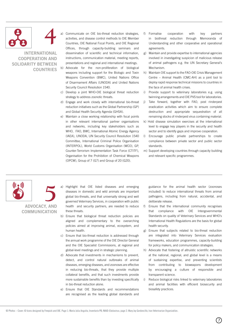



INTERNATIONAL COOPERATION AND SOLIDARITY BETWEEN **COUNTRIES**  Communicate on OIE bio-threat reduction strategies, activities, and disease control methods to OIE Member Countries, OIE National Focal Points, and OIE Regional Offices, through capacity-building seminars and dissemination of scientific and technical information, instructions, communication material, meeting reports, presentations and regional and international meetings.

- b) Advocate for the non-proliferation of biological weapons including support for the Biologic and Toxin Weapons Convention (BWC), United Nations Office of Disarmament Affairs (UNODA) and United Nations Security Council Resolution 1540.
- c) Develop a joint WHO-OIE biological threat reduction strategy to address zoonotic threats.
- d) Engage and work closely with international bio-threat reduction initiatives such as the Global Partnership (GP) and Global Health Security Agenda (GHSA).
- e) Maintain a close working relationship with focal points in other relevant international partner organisations and networks, including key stakeholders such as WHO, FAO, BWC, International Atomic Energy Agency (IAEA), UNODA, UN Security Council Resolution 1540 Committee, International Criminal Police Organisation (INTERPOL), World Customs Organisation (WCO), GP, Counter-Terrorism Implementation Task Force (CTITF), Organisation for the Prohibition of Chemical Weapons (OPCW), Group of 7 (G7) and Group of 20 (G20).
- f) Formalise cooperation with key partners in biothreat reduction through Memoranda of Understanding and other cooperative and operational agreements.
- g) Maintain and provide expertise to international agencies involved in investigating suspicion of malicious release of animal pathogens e.g. the UN Secretary General's Mechanism.
- h) Maintain OIE support to the FAO-OIE Crisis Management Centre – Animal Health (CMC-AH) as a joint tool to deploy rapid response technical missions to countries in the face of animal health crises.
- i) Provide support to veterinary laboratories e.g. using twinning arrangements and OIE PVS tool for laboratories.
- j) Take forward, together with FAO, post rinderpest eradication activities which aim to ensure complete destruction and appropriate sequestration of all remaining stocks of rinderpest virus containing material.
- k) Hold disease simulation exercises at the international level to engage key players in the security and health sector and to identify gaps and improve cooperation.
- l) Encourage public private partnerships to create compliance between private sector and public sector standards.
- m) Support developing countries through capacity building and relevant specific programmes.



**5** ADVOCACY, AND **COMMUNICATION** 

a) Highlight that OIE listed diseases and emerging diseases in domestic and wild animals are important global bio-threats, and that universally strong and well governed Veterinary Services, in cooperation with public health and security partners, are needed to reduce these threats.

- b) Ensure that biological threat reduction policies are aligned and complementary to the overarching policies aimed at improving animal, ecosystem, and human health.
- c) Ensure that bio-threat reduction is addressed through the annual work programme of the OIE Director General and the OIE Specialist Commissions, at regional and global-level meetings and in strategic planning.
- d) Advocate that investments in mechanisms to prevent, detect, and control natural outbreaks of animal diseases, emerging diseases, and zoonoses are effective in reducing bio-threats, that they provide multiple collateral benefits, and that such investments provide more sustainable benefits than by investing specifically in bio-threat reduction alone.
- e) Ensure that OIE Standards and recommendations are recognised as the leading global standards and

guidance for the animal health sector (zoonoses included) to reduce international threats from animal pathogens, including from natural, accidental, and deliberate release.

- f) Ensure that the international community recognises that compliance with OIE Intergovernmental Standards on quality of Veterinary Services and WHO's International Health Regulations are the basis for global health security.
- g) Ensure that subjects related to bio-threat reduction are integrated into Veterinary Services evaluation frameworks, education programmes, capacity-building for policy makers, and communication strategies.
- h) Advocate that fostering of altruistic scientific networks at the national, regional, and global level is a means of sustaining expertise, and preventing scientists from contributing to bioweapons development by encouraging a culture of responsible and transparent science.
- i) Reduce biological risks linked to veterinary laboratories and animal facilities with efficient biosecurity and biosafety practices.